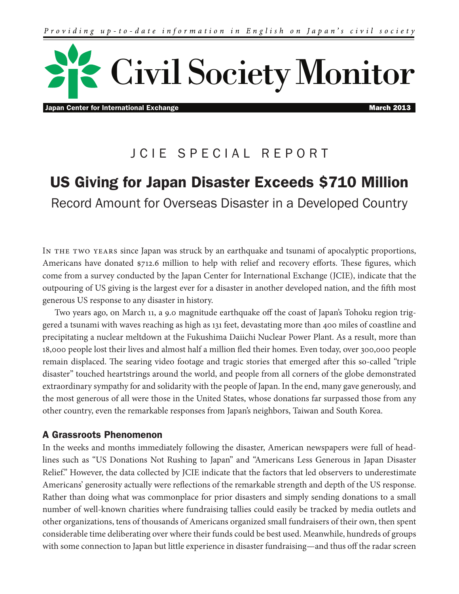

Japan Center for International Exchange March 2013 **March 2013** 

## JCIE SPECIAL REPORT

# US Giving for Japan Disaster Exceeds \$710 Million Record Amount for Overseas Disaster in a Developed Country

In the two years since Japan was struck by an earthquake and tsunami of apocalyptic proportions, Americans have donated \$712.6 million to help with relief and recovery efforts. These figures, which come from a survey conducted by the Japan Center for International Exchange (JCIE), indicate that the outpouring of US giving is the largest ever for a disaster in another developed nation, and the fifth most generous US response to any disaster in history.

Two years ago, on March 11, a 9.0 magnitude earthquake off the coast of Japan's Tohoku region triggered a tsunami with waves reaching as high as 131 feet, devastating more than 400 miles of coastline and precipitating a nuclear meltdown at the Fukushima Daiichi Nuclear Power Plant. As a result, more than 18,000 people lost their lives and almost half a million fled their homes. Even today, over 300,000 people remain displaced. The searing video footage and tragic stories that emerged after this so-called "triple" disaster" touched heartstrings around the world, and people from all corners of the globe demonstrated extraordinary sympathy for and solidarity with the people of Japan. In the end, many gave generously, and the most generous of all were those in the United States, whose donations far surpassed those from any other country, even the remarkable responses from Japan's neighbors, Taiwan and South Korea.

## A Grassroots Phenomenon

In the weeks and months immediately following the disaster, American newspapers were full of headlines such as "US Donations Not Rushing to Japan" and "Americans Less Generous in Japan Disaster Relief." However, the data collected by JCIE indicate that the factors that led observers to underestimate Americans' generosity actually were reflections of the remarkable strength and depth of the US response. Rather than doing what was commonplace for prior disasters and simply sending donations to a small number of well-known charities where fundraising tallies could easily be tracked by media outlets and other organizations, tens of thousands of Americans organized small fundraisers of their own, then spent considerable time deliberating over where their funds could be best used. Meanwhile, hundreds of groups with some connection to Japan but little experience in disaster fundraising—and thus off the radar screen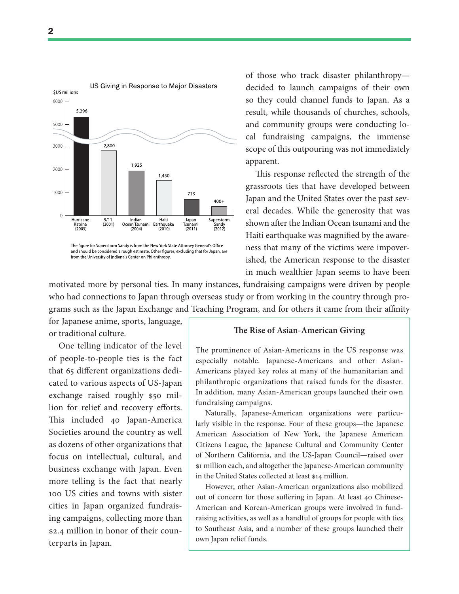

and should be considered a rough estimate. Other figures, excluding that for Japan, are from the University of Indiana's Center on Philanthropy.

of those who track disaster philanthropy decided to launch campaigns of their own so they could channel funds to Japan. As a result, while thousands of churches, schools, and community groups were conducting local fundraising campaigns, the immense scope of this outpouring was not immediately apparent.

This response reflected the strength of the grassroots ties that have developed between Japan and the United States over the past several decades. While the generosity that was shown after the Indian Ocean tsunami and the Haiti earthquake was magnified by the awareness that many of the victims were impoverished, the American response to the disaster in much wealthier Japan seems to have been

motivated more by personal ties. In many instances, fundraising campaigns were driven by people who had connections to Japan through overseas study or from working in the country through programs such as the Japan Exchange and Teaching Program, and for others it came from their affinity

for Japanese anime, sports, language, or traditional culture.

One telling indicator of the level of people-to-people ties is the fact that 65 different organizations dedicated to various aspects of US-Japan exchange raised roughly \$50 million for relief and recovery efforts. This included 40 Japan-America Societies around the country as well as dozens of other organizations that focus on intellectual, cultural, and business exchange with Japan. Even more telling is the fact that nearly 100 US cities and towns with sister cities in Japan organized fundraising campaigns, collecting more than \$2.4 million in honor of their counterparts in Japan.

#### **!e Rise of Asian-American Giving**

The prominence of Asian-Americans in the US response was especially notable. Japanese-Americans and other Asian-Americans played key roles at many of the humanitarian and philanthropic organizations that raised funds for the disaster. In addition, many Asian-American groups launched their own fundraising campaigns.

Naturally, Japanese-American organizations were particularly visible in the response. Four of these groups—the Japanese American Association of New York, the Japanese American Citizens League, the Japanese Cultural and Community Center of Northern California, and the US-Japan Council—raised over \$1 million each, and altogether the Japanese-American community in the United States collected at least \$14 million.

However, other Asian-American organizations also mobilized out of concern for those suffering in Japan. At least 40 Chinese-American and Korean-American groups were involved in fundraising activities, as well as a handful of groups for people with ties to Southeast Asia, and a number of these groups launched their own Japan relief funds.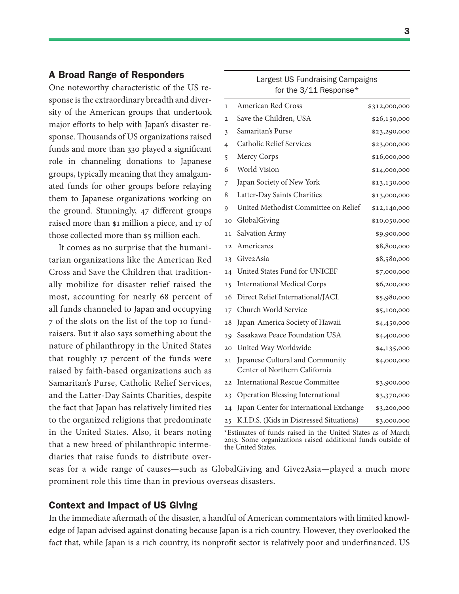## A Broad Range of Responders

One noteworthy characteristic of the US response is the extraordinary breadth and diversity of the American groups that undertook major efforts to help with Japan's disaster response. Thousands of US organizations raised funds and more than 330 played a significant role in channeling donations to Japanese groups, typically meaning that they amalgamated funds for other groups before relaying them to Japanese organizations working on the ground. Stunningly,  $47$  different groups raised more than \$1 million a piece, and 17 of those collected more than \$5 million each.

It comes as no surprise that the humanitarian organizations like the American Red Cross and Save the Children that traditionally mobilize for disaster relief raised the most, accounting for nearly 68 percent of all funds channeled to Japan and occupying 7 of the slots on the list of the top 10 fundraisers. But it also says something about the nature of philanthropy in the United States that roughly 17 percent of the funds were raised by faith-based organizations such as Samaritan's Purse, Catholic Relief Services, and the Latter-Day Saints Charities, despite the fact that Japan has relatively limited ties to the organized religions that predominate in the United States. Also, it bears noting that a new breed of philanthropic intermediaries that raise funds to distribute over-

| 1              | <b>American Red Cross</b>                                        | \$312,000,000 |
|----------------|------------------------------------------------------------------|---------------|
| $\overline{c}$ | Save the Children, USA                                           | \$26,150,000  |
| 3              | Samaritan's Purse                                                | \$23,290,000  |
| 4              | <b>Catholic Relief Services</b>                                  | \$23,000,000  |
| 5              | Mercy Corps                                                      | \$16,000,000  |
| 6              | World Vision                                                     | \$14,000,000  |
| 7              | Japan Society of New York                                        | \$13,130,000  |
| 8              | Latter-Day Saints Charities                                      | \$13,000,000  |
| 9              | United Methodist Committee on Relief                             | \$12,140,000  |
| 10             | GlobalGiving                                                     | \$10,050,000  |
| 11             | Salvation Army                                                   | \$9,900,000   |
| 12             | Americares                                                       | \$8,800,000   |
| 13             | Give2Asia                                                        | \$8,580,000   |
| 14             | United States Fund for UNICEF                                    | \$7,000,000   |
| 15             | <b>International Medical Corps</b>                               | \$6,200,000   |
| 16             | Direct Relief International/JACL                                 | \$5,980,000   |
| 17             | Church World Service                                             | \$5,100,000   |
| 18             | Japan-America Society of Hawaii                                  | \$4,450,000   |
| 19             | Sasakawa Peace Foundation USA                                    | \$4,400,000   |
| 20             | United Way Worldwide                                             | \$4,135,000   |
| 21             | Japanese Cultural and Community<br>Center of Northern California | \$4,000,000   |
| 22             | <b>International Rescue Committee</b>                            | \$3,900,000   |
| 23             | <b>Operation Blessing International</b>                          | \$3,370,000   |
| 24             | Japan Center for International Exchange                          | \$3,200,000   |
| 25             | K.I.D.S. (Kids in Distressed Situations)                         | \$3,000,000   |

largest US Fundraising Campaigns for the 3/11 Response\*

\*Estimates of funds raised in the United States as of March 2013. Some organizations raised additional funds outside of the United States.

seas for a wide range of causes—such as GlobalGiving and Give2Asia—played a much more prominent role this time than in previous overseas disasters.

## Context and Impact of US Giving

In the immediate aftermath of the disaster, a handful of American commentators with limited knowledge of Japan advised against donating because Japan is a rich country. However, they overlooked the fact that, while Japan is a rich country, its nonprofit sector is relatively poor and underfinanced. US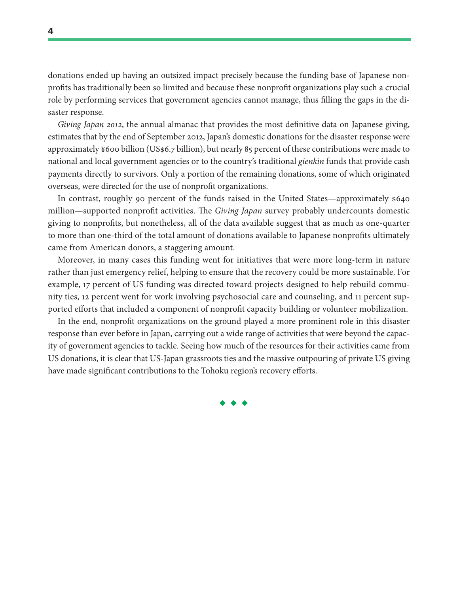donations ended up having an outsized impact precisely because the funding base of Japanese nonprofits has traditionally been so limited and because these nonprofit organizations play such a crucial role by performing services that government agencies cannot manage, thus filling the gaps in the disaster response.

Giving Japan 2012, the annual almanac that provides the most definitive data on Japanese giving, estimates that by the end of September 2012, Japan's domestic donations for the disaster response were approximately ¥600 billion (US\$6.7 billion), but nearly 85 percent of these contributions were made to national and local government agencies or to the country's traditional gienkin funds that provide cash payments directly to survivors. Only a portion of the remaining donations, some of which originated overseas, were directed for the use of nonprofit organizations.

In contrast, roughly 90 percent of the funds raised in the United States—approximately \$640 million—supported nonprofit activities. The *Giving Japan* survey probably undercounts domestic giving to nonprofits, but nonetheless, all of the data available suggest that as much as one-quarter to more than one-third of the total amount of donations available to Japanese nonprofits ultimately came from American donors, a staggering amount.

Moreover, in many cases this funding went for initiatives that were more long-term in nature rather than just emergency relief, helping to ensure that the recovery could be more sustainable. For example, 17 percent of US funding was directed toward projects designed to help rebuild community ties, 12 percent went for work involving psychosocial care and counseling, and 11 percent supported efforts that included a component of nonprofit capacity building or volunteer mobilization.

In the end, nonprofit organizations on the ground played a more prominent role in this disaster response than ever before in Japan, carrying out a wide range of activities that were beyond the capacity of government agencies to tackle. Seeing how much of the resources for their activities came from US donations, it is clear that US-Japan grassroots ties and the massive outpouring of private US giving have made significant contributions to the Tohoku region's recovery efforts.

◆ ◆ ◆